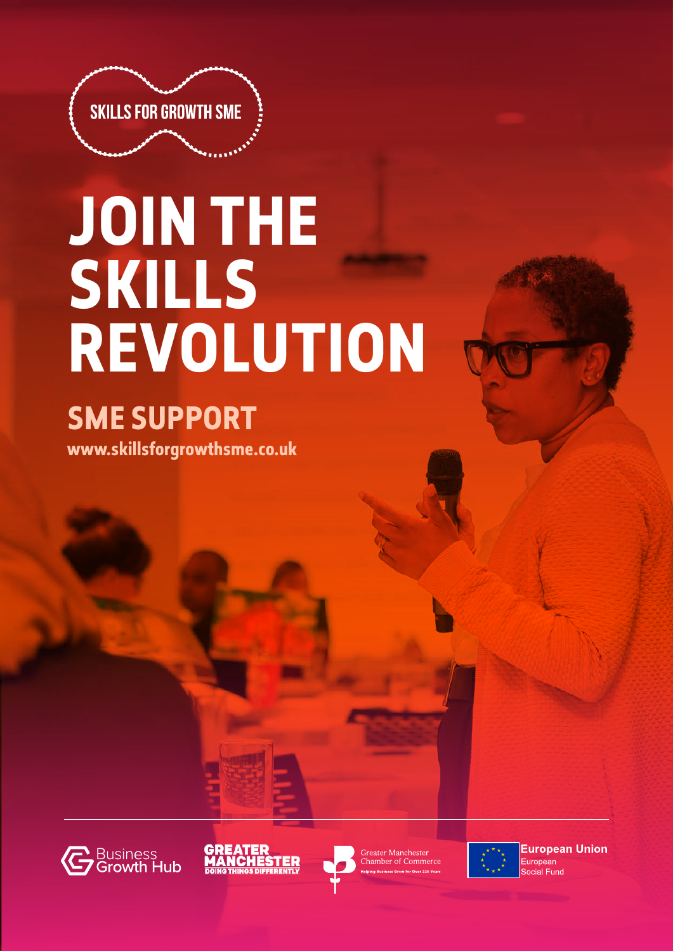

# **JOIN THE SKILLS REVOLUTION**

## **SME SUPPORT**

**www.skillsforgrowthsme.co.uk**









**European Union** European ocial Fund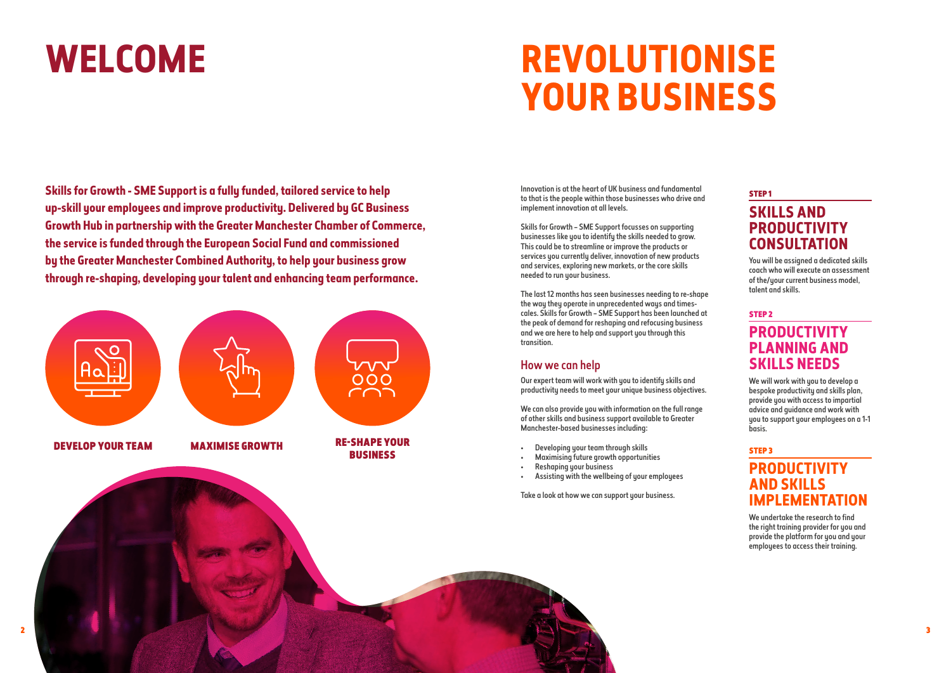# WELCOME REVOLUTIONISE **YOUR BUSINESS**

**Skills for Growth - SME Support is a fully funded, tailored service to help up-skill your employees and improve productivity. Delivered by GC Business Growth Hub in partnership with the Greater Manchester Chamber of Commerce, the service is funded through the European Social Fund and commissioned by the Greater Manchester Combined Authority, to help your business grow through re-shaping, developing your talent and enhancing team performance.** 

Innovation is at the heart of UK business and fundamental to that is the people within those businesses who drive and implement innovation at all levels.

Skills for Growth – SME Support focusses on supporting businesses like you to identify the skills needed to grow. This could be to streamline or improve the products or services you currently deliver, innovation of new products and services, exploring new markets, or the core skills needed to run your business.

> We will work with you to develop a bespoke productivity and skills plan, provide you with access to impartial advice and guidance and work with you to support your employees on a 1-1 basis.

The last 12 months has seen businesses needing to re-shape the way they operate in unprecedented ways and timescales. Skills for Growth – SME Support has been launched at the peak of demand for reshaping and refocusing business and we are here to help and support you through this transition.

#### How we can help

Our expert team will work with you to identify skills and productivity needs to meet your unique business objectives.

We can also provide you with information on the full range of other skills and business support available to Greater Manchester-based businesses including:

- Developing your team through skills
- Maximising future growth opportunities
- Reshaping your business
- Assisting with the wellbeing of your employees

Take a look at how we can support your business.

#### STEP 1

### **SKILLS AND PRODUCTIVITY CONSULTATION**

You will be assigned a dedicated skills coach who will execute an assessment of the/your current business model, talent and skills.

#### STEP 2 **PRODUCTIVITY PLANNING AND SKILLS NEEDS**

#### STEP 3

### **PRODUCTIVITY AND SKILLS IMPLEMENTATION**

We undertake the research to find the right training provider for you and provide the platform for you and your employees to access their training.

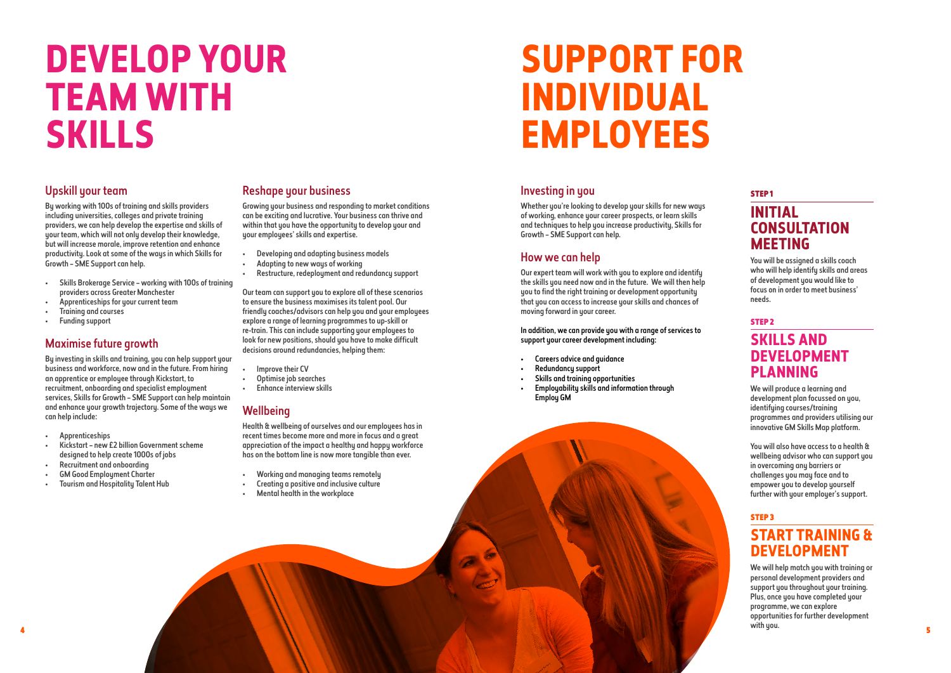# **DEVELOP YOUR TEAM WITH SKILLS**

#### Upskill your team

By working with 100s of training and skills providers including universities, colleges and private training providers, we can help develop the expertise and skills of your team, which will not only develop their knowledge, but will increase morale, improve retention and enhance productivity. Look at some of the ways in which Skills for Growth – SME Support can help.

- Skills Brokerage Service working with 100s of training providers across Greater Manchester
- Apprenticeships for your current team
- Training and courses
- Funding support

#### Maximise future growth

By investing in skills and training, you can help support your business and workforce, now and in the future. From hiring an apprentice or employee through Kickstart, to recruitment, onboarding and specialist employment services, Skills for Growth – SME Support can help maintain and enhance your growth trajectory. Some of the ways we can help include:

- Apprenticeships
- Kickstart new £2 billion Government scheme designed to help create 1000s of jobs
- Recruitment and onboarding
- GM Good Employment Charter
- Tourism and Hospitality Talent Hub

#### Reshape your business

Growing your business and responding to market conditions can be exciting and lucrative. Your business can thrive and within that you have the opportunity to develop your and your employees' skills and expertise.

> Our expert team will work with you to explore and identify the skills you need now and in the future. We will then help you to find the right training or development opportunity that you can access to increase your skills and chances of moving forward in your career.

In addition, we can provide you with a range of services to support your career development including:

- Developing and adapting business models
- Adapting to new ways of working
- Restructure, redeployment and redundancy support

- Careers advice and guidance
- Redundancy support
- Skills and training opportunities
- Employability skills and information through Employ GM



Our team can support you to explore all of these scenarios to ensure the business maximises its talent pool. Our friendly coaches/advisors can help you and your employees explore a range of learning programmes to up-skill or re-train. This can include supporting your employees to look for new positions, should you have to make difficult decisions around redundancies, helping them:

We will help match you with training or personal development providers and support you throughout your training. Plus, once you have completed your programme, we can explore opportunities for further development a state of the state of the state of the state of the state of the state of the state of the state of the state of the state of the state of the state of the state of the state of the state of the state of the state of the

- Improve their CV
- Optimise job searches
- Enhance interview skills

#### **Wellbeing**

Health & wellbeing of ourselves and our employees has in recent times become more and more in focus and a great appreciation of the impact a healthy and happy workforce has on the bottom line is now more tangible than ever.

- Working and managing teams remotely
- Creating a positive and inclusive culture
- Mental health in the workplace

# **SUPPORT FOR INDIVIDUAL EMPLOYEES**

#### Investing in you

Whether you're looking to develop your skills for new ways of working, enhance your career prospects, or learn skills and techniques to help you increase productivity, Skills for Growth – SME Support can help.

#### How we can help

#### STEP 1 **INITIAL CONSULTATION MEETING**

You will be assigned a skills coach who will help identify skills and areas of development you would like to focus on in order to meet business' needs.

### STEP 2 **SKILLS AND DEVELOPMENT PLANNING**

We will produce a learning and development plan focussed on you, identifying courses/training programmes and providers utilising our innovative GM Skills Map platform.

You will also have access to a health & wellbeing advisor who can support you in overcoming any barriers or challenges you may face and to empower you to develop yourself further with your employer's support.

### STEP 3 **START TRAINING & DEVELOPMENT**